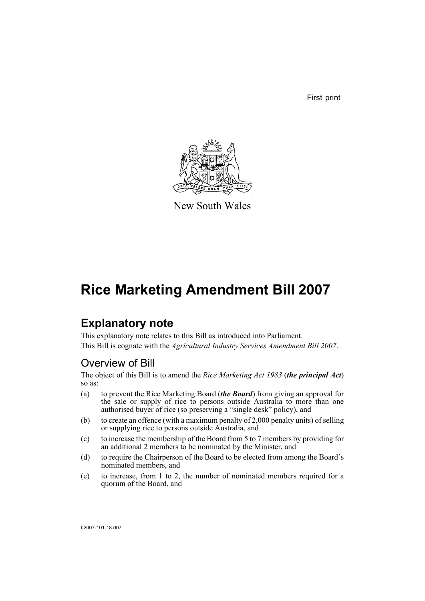First print



New South Wales

# **Rice Marketing Amendment Bill 2007**

## **Explanatory note**

This explanatory note relates to this Bill as introduced into Parliament. This Bill is cognate with the *Agricultural Industry Services Amendment Bill 2007*.

### Overview of Bill

The object of this Bill is to amend the *Rice Marketing Act 1983* (*the principal Act*) so as:

- (a) to prevent the Rice Marketing Board (*the Board*) from giving an approval for the sale or supply of rice to persons outside Australia to more than one authorised buyer of rice (so preserving a "single desk" policy), and
- (b) to create an offence (with a maximum penalty of 2,000 penalty units) of selling or supplying rice to persons outside Australia, and
- (c) to increase the membership of the Board from 5 to 7 members by providing for an additional 2 members to be nominated by the Minister, and
- (d) to require the Chairperson of the Board to be elected from among the Board's nominated members, and
- (e) to increase, from 1 to 2, the number of nominated members required for a quorum of the Board, and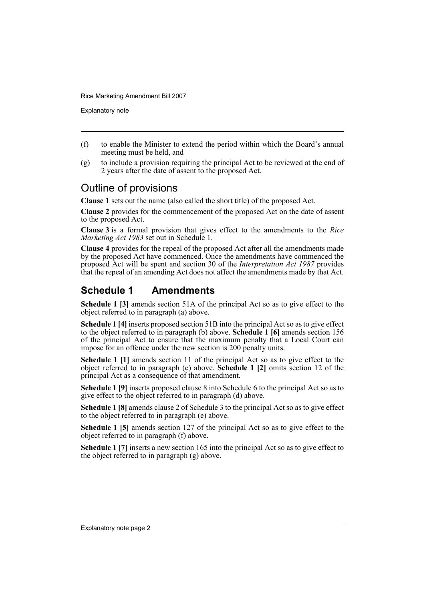Explanatory note

- (f) to enable the Minister to extend the period within which the Board's annual meeting must be held, and
- (g) to include a provision requiring the principal Act to be reviewed at the end of 2 years after the date of assent to the proposed Act.

#### Outline of provisions

**Clause 1** sets out the name (also called the short title) of the proposed Act.

**Clause 2** provides for the commencement of the proposed Act on the date of assent to the proposed Act.

**Clause 3** is a formal provision that gives effect to the amendments to the *Rice Marketing Act 1983* set out in Schedule 1.

**Clause 4** provides for the repeal of the proposed Act after all the amendments made by the proposed Act have commenced. Once the amendments have commenced the proposed Act will be spent and section 30 of the *Interpretation Act 1987* provides that the repeal of an amending Act does not affect the amendments made by that Act.

### **Schedule 1 Amendments**

**Schedule 1 [3]** amends section 51A of the principal Act so as to give effect to the object referred to in paragraph (a) above.

**Schedule 1 [4]** inserts proposed section 51B into the principal Act so as to give effect to the object referred to in paragraph (b) above. **Schedule 1 [6]** amends section 156 of the principal Act to ensure that the maximum penalty that a Local Court can impose for an offence under the new section is 200 penalty units.

**Schedule 1 [1]** amends section 11 of the principal Act so as to give effect to the object referred to in paragraph (c) above. **Schedule 1 [2]** omits section 12 of the principal Act as a consequence of that amendment.

**Schedule 1 [9]** inserts proposed clause 8 into Schedule 6 to the principal Act so as to give effect to the object referred to in paragraph (d) above.

**Schedule 1 [8]** amends clause 2 of Schedule 3 to the principal Act so as to give effect to the object referred to in paragraph (e) above.

**Schedule 1 [5]** amends section 127 of the principal Act so as to give effect to the object referred to in paragraph (f) above.

**Schedule 1 [7]** inserts a new section 165 into the principal Act so as to give effect to the object referred to in paragraph (g) above.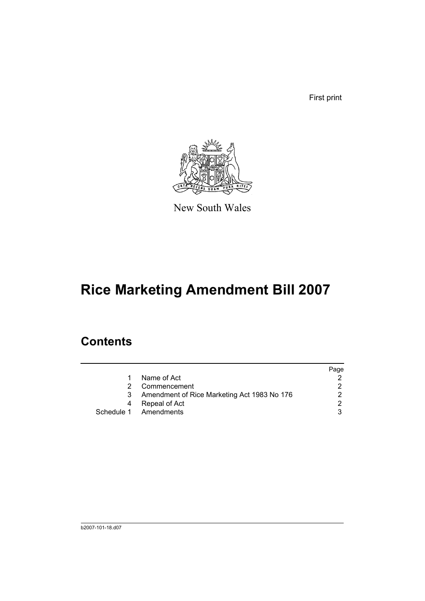First print



New South Wales

# **Rice Marketing Amendment Bill 2007**

## **Contents**

|    |                                             | Page |
|----|---------------------------------------------|------|
| 1. | Name of Act                                 |      |
|    | Commencement                                |      |
|    | Amendment of Rice Marketing Act 1983 No 176 |      |
|    | Repeal of Act                               | 2    |
|    | Schedule 1 Amendments                       |      |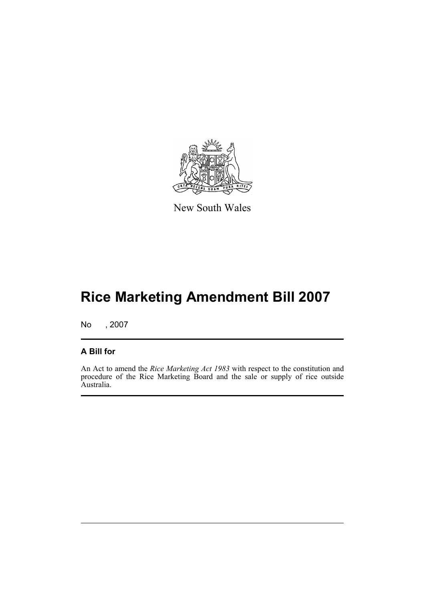

New South Wales

# **Rice Marketing Amendment Bill 2007**

No , 2007

#### **A Bill for**

An Act to amend the *Rice Marketing Act 1983* with respect to the constitution and procedure of the Rice Marketing Board and the sale or supply of rice outside Australia.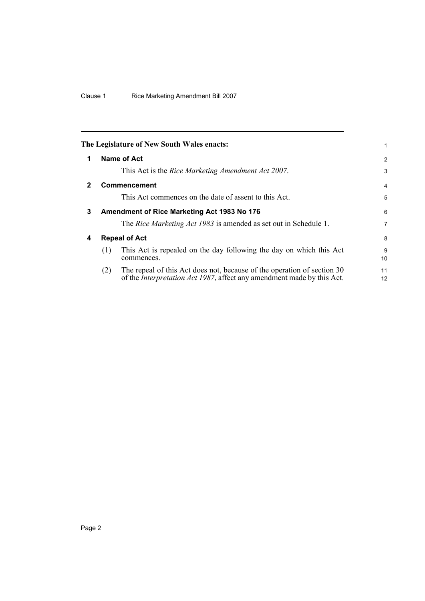<span id="page-5-3"></span><span id="page-5-2"></span><span id="page-5-1"></span><span id="page-5-0"></span>

|   |                      | The Legislature of New South Wales enacts:                                                                                                                | 1        |
|---|----------------------|-----------------------------------------------------------------------------------------------------------------------------------------------------------|----------|
| 1 |                      | Name of Act                                                                                                                                               | 2        |
|   |                      | This Act is the <i>Rice Marketing Amendment Act 2007</i> .                                                                                                | 3        |
| 2 |                      | <b>Commencement</b>                                                                                                                                       | 4        |
|   |                      | This Act commences on the date of assent to this Act.                                                                                                     | 5        |
| 3 |                      | Amendment of Rice Marketing Act 1983 No 176                                                                                                               | 6        |
|   |                      | The <i>Rice Marketing Act 1983</i> is amended as set out in Schedule 1.                                                                                   | 7        |
| 4 | <b>Repeal of Act</b> |                                                                                                                                                           |          |
|   | (1)                  | This Act is repealed on the day following the day on which this Act<br>commences.                                                                         | 9<br>10  |
|   | (2)                  | The repeal of this Act does not, because of the operation of section 30<br>of the <i>Interpretation Act 1987</i> , affect any amendment made by this Act. | 11<br>12 |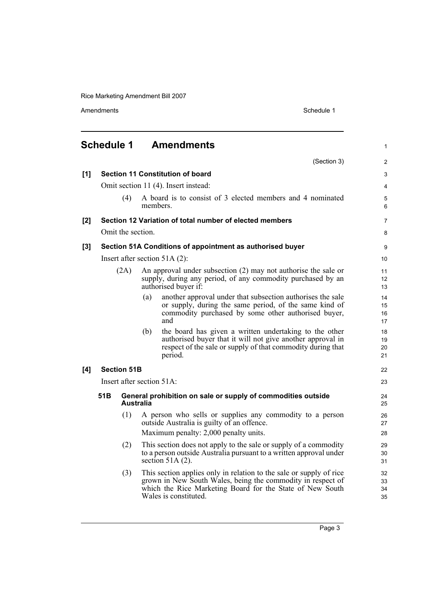Amendments Schedule 1

<span id="page-6-0"></span>

|       | <b>Schedule 1</b> |                                 |          | <b>Amendments</b>                                                                                                                                                                                                        | $\mathbf{1}$         |  |
|-------|-------------------|---------------------------------|----------|--------------------------------------------------------------------------------------------------------------------------------------------------------------------------------------------------------------------------|----------------------|--|
|       |                   |                                 |          | (Section 3)                                                                                                                                                                                                              | $\overline{2}$       |  |
| [1]   |                   |                                 |          | <b>Section 11 Constitution of board</b>                                                                                                                                                                                  | 3                    |  |
|       |                   |                                 |          | Omit section 11 (4). Insert instead:                                                                                                                                                                                     | $\overline{4}$       |  |
|       |                   | (4)                             | members. | A board is to consist of 3 elected members and 4 nominated                                                                                                                                                               | 5<br>6               |  |
| [2]   |                   |                                 |          | Section 12 Variation of total number of elected members                                                                                                                                                                  | $\overline{7}$       |  |
|       |                   | Omit the section.               |          |                                                                                                                                                                                                                          | 8                    |  |
| $[3]$ |                   |                                 |          | Section 51A Conditions of appointment as authorised buyer                                                                                                                                                                | 9                    |  |
|       |                   | Insert after section $51A(2)$ : |          |                                                                                                                                                                                                                          |                      |  |
|       | (2A)              |                                 |          | An approval under subsection $(2)$ may not authorise the sale or<br>supply, during any period, of any commodity purchased by an<br>authorised buyer if:                                                                  | 11<br>12<br>13       |  |
|       |                   |                                 | (a)      | another approval under that subsection authorises the sale<br>or supply, during the same period, of the same kind of<br>commodity purchased by some other authorised buyer,<br>and                                       | 14<br>15<br>16<br>17 |  |
|       |                   |                                 | (b)      | the board has given a written undertaking to the other<br>authorised buyer that it will not give another approval in<br>respect of the sale or supply of that commodity during that<br>period.                           | 18<br>19<br>20<br>21 |  |
| [4]   |                   | <b>Section 51B</b>              |          |                                                                                                                                                                                                                          | 22                   |  |
|       |                   | Insert after section 51A:       |          |                                                                                                                                                                                                                          |                      |  |
|       | 51B               | <b>Australia</b>                |          | General prohibition on sale or supply of commodities outside                                                                                                                                                             | 24<br>25             |  |
|       |                   | (1)                             |          | A person who sells or supplies any commodity to a person<br>outside Australia is guilty of an offence.<br>Maximum penalty: 2,000 penalty units.                                                                          | 26<br>27<br>28       |  |
|       |                   | (2)                             |          | This section does not apply to the sale or supply of a commodity<br>to a person outside Australia pursuant to a written approval under<br>section $51A(2)$ .                                                             | 29<br>30<br>31       |  |
|       |                   | (3)                             |          | This section applies only in relation to the sale or supply of rice<br>grown in New South Wales, being the commodity in respect of<br>which the Rice Marketing Board for the State of New South<br>Wales is constituted. | 32<br>33<br>34<br>35 |  |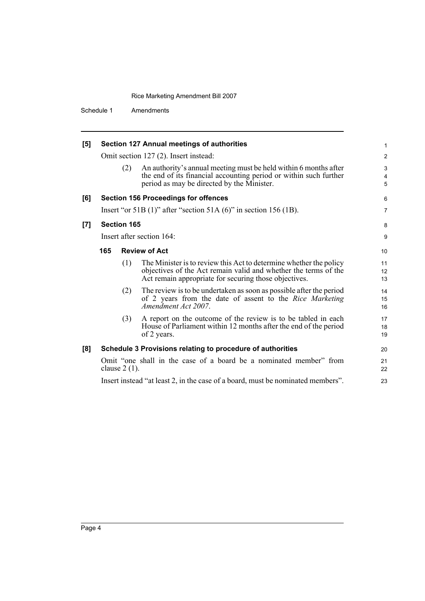Schedule 1 Amendments

| [5] |                                                                                       |     | Section 127 Annual meetings of authorities                                                                                                                                                     | 1                       |
|-----|---------------------------------------------------------------------------------------|-----|------------------------------------------------------------------------------------------------------------------------------------------------------------------------------------------------|-------------------------|
|     | Omit section 127 (2). Insert instead:                                                 |     |                                                                                                                                                                                                | $\overline{\mathbf{c}}$ |
|     |                                                                                       | (2) | An authority's annual meeting must be held within 6 months after<br>the end of its financial accounting period or within such further<br>period as may be directed by the Minister.            | 3<br>4<br>5             |
| [6] |                                                                                       |     | <b>Section 156 Proceedings for offences</b>                                                                                                                                                    | 6                       |
|     |                                                                                       |     | Insert "or 51B $(1)$ " after "section 51A $(6)$ " in section 156 $(1B)$ .                                                                                                                      | 7                       |
| [7] | <b>Section 165</b>                                                                    |     |                                                                                                                                                                                                | 8                       |
|     | Insert after section 164:                                                             |     |                                                                                                                                                                                                | 9                       |
|     | 165                                                                                   |     | <b>Review of Act</b>                                                                                                                                                                           | 10                      |
|     |                                                                                       | (1) | The Minister is to review this Act to determine whether the policy<br>objectives of the Act remain valid and whether the terms of the<br>Act remain appropriate for securing those objectives. | 11<br>12<br>13          |
|     |                                                                                       | (2) | The review is to be undertaken as soon as possible after the period<br>of 2 years from the date of assent to the Rice Marketing<br>Amendment Act 2007.                                         | 14<br>15<br>16          |
|     |                                                                                       | (3) | A report on the outcome of the review is to be tabled in each<br>House of Parliament within 12 months after the end of the period<br>of 2 years.                                               | 17<br>18<br>19          |
| [8] |                                                                                       |     | Schedule 3 Provisions relating to procedure of authorities                                                                                                                                     | 20                      |
|     | Omit "one shall in the case of a board be a nominated member" from<br>clause $2(1)$ . |     |                                                                                                                                                                                                |                         |
|     |                                                                                       |     | Insert instead "at least 2, in the case of a board, must be nominated members".                                                                                                                | 23                      |